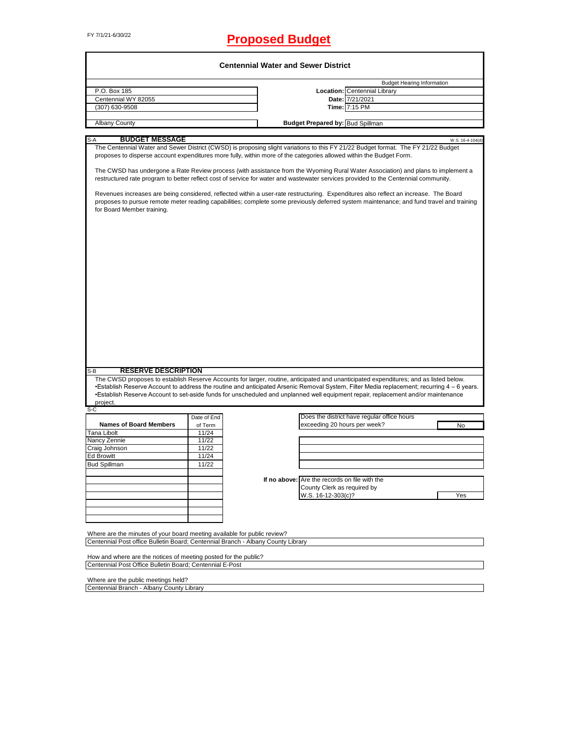# FY 7/1/21-6/30/22 **Proposed Budget**

|                                                                                                               |             | <b>Centennial Water and Sewer District</b>                                                                                                                                                                                                                                        |
|---------------------------------------------------------------------------------------------------------------|-------------|-----------------------------------------------------------------------------------------------------------------------------------------------------------------------------------------------------------------------------------------------------------------------------------|
|                                                                                                               |             | <b>Budget Hearing Information</b>                                                                                                                                                                                                                                                 |
| P.O. Box 185                                                                                                  |             | Location: Centennial Library                                                                                                                                                                                                                                                      |
| Centennial WY 82055                                                                                           |             | Date: 7/21/2021                                                                                                                                                                                                                                                                   |
| (307) 630-9508                                                                                                |             | Time: 7:15 PM                                                                                                                                                                                                                                                                     |
| <b>Albany County</b>                                                                                          |             | <b>Budget Prepared by: Bud Spillman</b>                                                                                                                                                                                                                                           |
|                                                                                                               |             |                                                                                                                                                                                                                                                                                   |
| <b>BUDGET MESSAGE</b><br>S-A                                                                                  |             | W.S. 16-4-104(d)                                                                                                                                                                                                                                                                  |
|                                                                                                               |             | The Centennial Water and Sewer District (CWSD) is proposing slight variations to this FY 21/22 Budget format. The FY 21/22 Budget<br>proposes to disperse account expenditures more fully, within more of the categories allowed within the Budget Form.                          |
|                                                                                                               |             | The CWSD has undergone a Rate Review process (with assistance from the Wyoming Rural Water Association) and plans to implement a<br>restructured rate program to better reflect cost of service for water and wastewater services provided to the Centennial community.           |
| for Board Member training.                                                                                    |             | Revenues increases are being considered, reflected within a user-rate restructuring. Expenditures also reflect an increase. The Board<br>proposes to pursue remote meter reading capabilities; complete some previously deferred system maintenance; and fund travel and training |
|                                                                                                               |             |                                                                                                                                                                                                                                                                                   |
|                                                                                                               |             |                                                                                                                                                                                                                                                                                   |
|                                                                                                               |             |                                                                                                                                                                                                                                                                                   |
|                                                                                                               |             |                                                                                                                                                                                                                                                                                   |
|                                                                                                               |             |                                                                                                                                                                                                                                                                                   |
|                                                                                                               |             |                                                                                                                                                                                                                                                                                   |
|                                                                                                               |             |                                                                                                                                                                                                                                                                                   |
|                                                                                                               |             |                                                                                                                                                                                                                                                                                   |
|                                                                                                               |             |                                                                                                                                                                                                                                                                                   |
|                                                                                                               |             |                                                                                                                                                                                                                                                                                   |
|                                                                                                               |             |                                                                                                                                                                                                                                                                                   |
|                                                                                                               |             |                                                                                                                                                                                                                                                                                   |
|                                                                                                               |             |                                                                                                                                                                                                                                                                                   |
|                                                                                                               |             |                                                                                                                                                                                                                                                                                   |
| <b>RESERVE DESCRIPTION</b>                                                                                    |             |                                                                                                                                                                                                                                                                                   |
|                                                                                                               |             | The CWSD proposes to establish Reserve Accounts for larger, routine, anticipated and unanticipated expenditures; and as listed below.                                                                                                                                             |
|                                                                                                               |             | •Establish Reserve Account to address the routine and anticipated Arsenic Removal System, Filter Media replacement; recurring 4 - 6 years.                                                                                                                                        |
| project.                                                                                                      |             | •Establish Reserve Account to set-aside funds for unscheduled and unplanned well equipment repair, replacement and/or maintenance                                                                                                                                                 |
|                                                                                                               |             |                                                                                                                                                                                                                                                                                   |
|                                                                                                               | Date of End | Does the district have regular office hours                                                                                                                                                                                                                                       |
| <b>Names of Board Members</b>                                                                                 | of Term     | exceeding 20 hours per week?<br>No                                                                                                                                                                                                                                                |
|                                                                                                               | 11/24       |                                                                                                                                                                                                                                                                                   |
|                                                                                                               | 11/22       |                                                                                                                                                                                                                                                                                   |
|                                                                                                               | 11/22       |                                                                                                                                                                                                                                                                                   |
|                                                                                                               | 11/24       |                                                                                                                                                                                                                                                                                   |
|                                                                                                               | 11/22       |                                                                                                                                                                                                                                                                                   |
|                                                                                                               |             |                                                                                                                                                                                                                                                                                   |
|                                                                                                               |             | If no above: Are the records on file with the                                                                                                                                                                                                                                     |
|                                                                                                               |             | County Clerk as required by<br>W.S. 16-12-303(c)?<br>Yes                                                                                                                                                                                                                          |
| S-B<br>S-C<br><b>Tana Libolt</b><br>Nancy Zennie<br>Craig Johnson<br><b>Ed Browitt</b><br><b>Bud Spillman</b> |             |                                                                                                                                                                                                                                                                                   |
|                                                                                                               |             |                                                                                                                                                                                                                                                                                   |
|                                                                                                               |             |                                                                                                                                                                                                                                                                                   |
| Where are the minutes of your board meeting available for public review?                                      |             |                                                                                                                                                                                                                                                                                   |

How and where are the notices of meeting posted for the public? Centennial Post Office Bulletin Board; Centennial E-Post

Where are the public meetings held? Centennial Branch - Albany County Library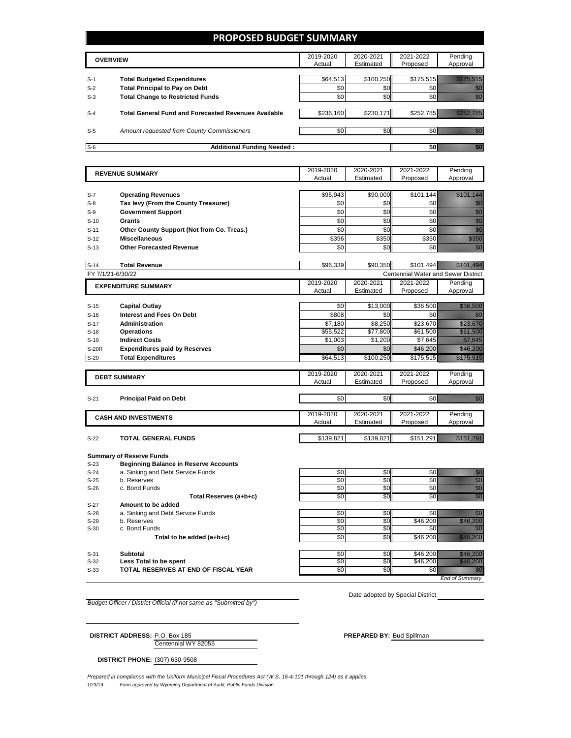## **PROPOSED BUDGET SUMMARY**

|       | <b>OVERVIEW</b>                                             | 2019-2020<br>Actual | 2020-2021<br>Estimated | 2021-2022<br>Proposed | Pending<br>Approval |
|-------|-------------------------------------------------------------|---------------------|------------------------|-----------------------|---------------------|
|       |                                                             |                     |                        |                       |                     |
| $S-1$ | <b>Total Budgeted Expenditures</b>                          | \$64,513            | \$100.250              | \$175,515             |                     |
| $S-2$ | <b>Total Principal to Pay on Debt</b>                       | \$0                 | \$0                    |                       |                     |
| $S-3$ | <b>Total Change to Restricted Funds</b>                     | \$0                 | \$0                    |                       |                     |
|       |                                                             |                     |                        |                       |                     |
| $S-4$ | <b>Total General Fund and Forecasted Revenues Available</b> | \$236,160           | \$230.171              | \$252.785             |                     |
|       |                                                             |                     |                        |                       |                     |
| $S-5$ | Amount requested from County Commissioners                  | \$0                 | \$0 <sub>1</sub>       |                       |                     |
|       |                                                             |                     |                        |                       |                     |
| $S-6$ | <b>Additional Funding Needed:</b>                           |                     |                        |                       |                     |

|                  | <b>REVENUE SUMMARY</b>                       | 2019-2020           | 2020-2021           | 2021-2022                           | Pending                                                                                                                                                                                                                           |
|------------------|----------------------------------------------|---------------------|---------------------|-------------------------------------|-----------------------------------------------------------------------------------------------------------------------------------------------------------------------------------------------------------------------------------|
|                  |                                              | Actual              | Estimated           | Proposed                            | Approval                                                                                                                                                                                                                          |
|                  |                                              |                     |                     |                                     |                                                                                                                                                                                                                                   |
| $S-7$            | <b>Operating Revenues</b>                    | \$95,943            | \$90,000            | \$101,144                           | <u> Hilliann ann an 1974.</u>                                                                                                                                                                                                     |
| $S-8$            | Tax levy (From the County Treasurer)         | \$0                 | \$0                 | \$0                                 | enni<br>Mille                                                                                                                                                                                                                     |
| $S-9$            | <b>Government Support</b>                    | \$0                 | \$0                 | \$0                                 | e de la provincia de la construcción de la construcción de la construcción de la construcción de la construcció<br>Construcción de la construcción de la construcción de la construcción de la construcción de la construcción de |
| $S-10$           | Grants                                       | \$0                 | \$0                 | \$0                                 |                                                                                                                                                                                                                                   |
| $S-11$           | Other County Support (Not from Co. Treas.)   | \$0                 | \$0                 | \$0                                 | na anns an                                                                                                                                                                                                                        |
| $S-12$           | <b>Miscellaneous</b>                         | \$396               | \$350               | \$350                               | an dhe                                                                                                                                                                                                                            |
| $S-13$           | <b>Other Forecasted Revenue</b>              | \$0                 | \$0                 | \$0                                 | ni dhe                                                                                                                                                                                                                            |
|                  |                                              |                     |                     |                                     |                                                                                                                                                                                                                                   |
| $S-14$           | <b>Total Revenue</b>                         | \$96.339            | \$90.350            | \$101.494                           | <u>Mille Salah Salah Ba</u>                                                                                                                                                                                                       |
|                  | FY 7/1/21-6/30/22                            |                     |                     | Centennial Water and Sewer District |                                                                                                                                                                                                                                   |
|                  | <b>EXPENDITURE SUMMARY</b>                   | 2019-2020           | 2020-2021           | 2021-2022                           | Pending                                                                                                                                                                                                                           |
|                  |                                              | Actual              | Estimated           | Proposed                            | Approval                                                                                                                                                                                                                          |
| $S-15$           | <b>Capital Outlay</b>                        | \$0                 | \$13,000            | \$36,500                            | <u>tillään käyt</u>                                                                                                                                                                                                               |
|                  | <b>Interest and Fees On Debt</b>             | \$808               | \$0                 | \$0                                 |                                                                                                                                                                                                                                   |
| $S-16$           |                                              |                     |                     |                                     |                                                                                                                                                                                                                                   |
| $S-17$           | <b>Administration</b>                        | \$7,180<br>\$55.522 | \$8.250<br>\$77,800 | \$23.670<br>\$61,500                | <u>i ka</u><br><u>ti ali ka</u>                                                                                                                                                                                                   |
| $S-18$<br>$S-19$ | <b>Operations</b><br><b>Indirect Costs</b>   | \$1,003             | \$1,200             | \$7,645                             | <u>ti all'internazionale di un internazionale di un internazionale di un internazionale di un internazionale di u</u>                                                                                                             |
| <b>S-20R</b>     | <b>Expenditures paid by Reserves</b>         | \$0                 | \$0                 | \$46,200                            | <u>Tik tik tik t</u>                                                                                                                                                                                                              |
| $S-20$           | <b>Total Expenditures</b>                    | \$64,513            | \$100,250           |                                     | <u> Martin Ma</u>                                                                                                                                                                                                                 |
|                  |                                              |                     |                     | \$175,515                           |                                                                                                                                                                                                                                   |
|                  |                                              | 2019-2020           | 2020-2021           | 2021-2022                           | Pending                                                                                                                                                                                                                           |
|                  | <b>DEBT SUMMARY</b>                          | Actual              | Estimated           | Proposed                            | Approval                                                                                                                                                                                                                          |
|                  |                                              |                     |                     |                                     |                                                                                                                                                                                                                                   |
| $S-21$           | <b>Principal Paid on Debt</b>                | \$0                 | \$0                 | \$0                                 | en de la filosofia<br>Altres de la filosofia                                                                                                                                                                                      |
|                  |                                              |                     |                     |                                     |                                                                                                                                                                                                                                   |
|                  | <b>CASH AND INVESTMENTS</b>                  | 2019-2020           | 2020-2021           | 2021-2022                           | Pending                                                                                                                                                                                                                           |
|                  |                                              | Actual              | Estimated           | Proposed                            | Approval                                                                                                                                                                                                                          |
| $S-22$           | <b>TOTAL GENERAL FUNDS</b>                   | \$139,821           | \$139,821           | \$151,291                           | <u> Karl Charles San B</u>                                                                                                                                                                                                        |
|                  |                                              |                     |                     |                                     |                                                                                                                                                                                                                                   |
|                  | <b>Summary of Reserve Funds</b>              |                     |                     |                                     |                                                                                                                                                                                                                                   |
| $S-23$           | <b>Beginning Balance in Reserve Accounts</b> |                     |                     |                                     |                                                                                                                                                                                                                                   |
| $S-24$           | a. Sinking and Debt Service Funds            | \$0                 | \$0                 | \$0                                 |                                                                                                                                                                                                                                   |
| $S-25$           | b. Reserves                                  | \$0                 | \$0                 | $\overline{30}$                     | e de la provincia de la provincia de la provincia de la provincia de la provincia de la provincia de la provincia<br>Composición                                                                                                  |
| $S-26$           | c. Bond Funds                                | \$0                 | \$0                 | \$0                                 | nna<br>Martin                                                                                                                                                                                                                     |
|                  | Total Reserves (a+b+c)                       | \$0                 | \$0                 | \$0                                 | an<br>Mariti                                                                                                                                                                                                                      |
| $S-27$           | Amount to be added                           |                     |                     |                                     |                                                                                                                                                                                                                                   |
| $S-28$           | a. Sinking and Debt Service Funds            | \$0                 | \$0                 | \$0                                 | en de la filosofia<br>Altres de la filosofia                                                                                                                                                                                      |
| $S-29$           | b. Reserves                                  | $\overline{50}$     | $\overline{50}$     | \$46,200                            | <u>e de la construcción de la construcción de la construcción de la construcción de la construcción de la constru</u>                                                                                                             |

S-30 c. Bond Funds \$0 \$0 \$0 \$0

Total to be added (a+b+c)

S-31 **Subtotal** \$0 \$0 \$46,200 \$46,200 S-32 **Less Total to be spent** \$0 \$0 \$46,200  *\$*46,200 S-33 **TOTAL RESERVES AT END OF FISCAL YEAR** \$0 \$0 \$0 \$0

*End of Summary*

*Budget Officer / District Official (if not same as "Submitted by")*

Date adopted by Special District

Centennial WY 82055 **DISTRICT ADDRESS:** P.O. Box 185 **PREPARED BY:** Bud Spillman

**DISTRICT PHONE:** (307) 630-9508

1/23/19 *Form approved by Wyoming Department of Audit, Public Funds Division Prepared in compliance with the Uniform Municipal Fiscal Procedures Act (W.S. 16-4-101 through 124) as it applies.*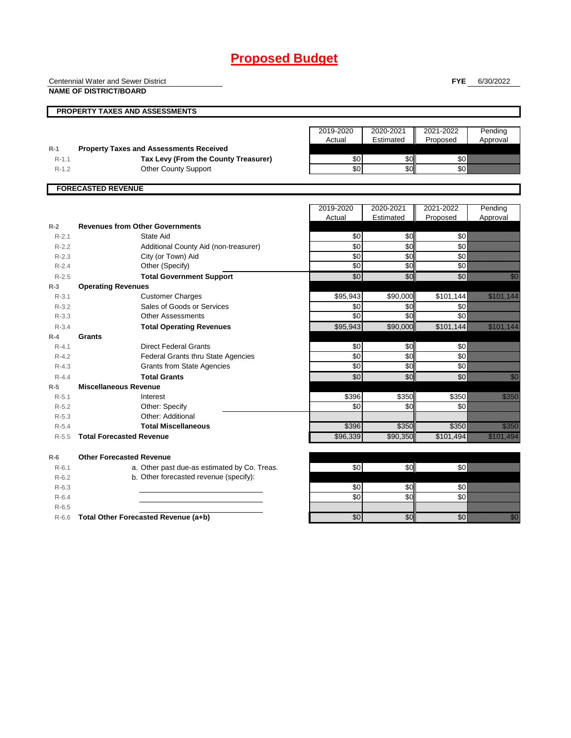|           | <b>Centennial Water and Sewer District</b>     |                     |                         | <b>FYE</b>            | 6/30/2022                                                                                                                                                                                                                        |
|-----------|------------------------------------------------|---------------------|-------------------------|-----------------------|----------------------------------------------------------------------------------------------------------------------------------------------------------------------------------------------------------------------------------|
|           | <b>NAME OF DISTRICT/BOARD</b>                  |                     |                         |                       |                                                                                                                                                                                                                                  |
|           | <b>PROPERTY TAXES AND ASSESSMENTS</b>          |                     |                         |                       |                                                                                                                                                                                                                                  |
|           |                                                |                     |                         |                       |                                                                                                                                                                                                                                  |
|           |                                                | 2019-2020           | 2020-2021               | 2021-2022             | Pending                                                                                                                                                                                                                          |
|           |                                                | Actual              | Estimated               | Proposed              | Approval                                                                                                                                                                                                                         |
| $R-1$     | <b>Property Taxes and Assessments Received</b> |                     |                         |                       |                                                                                                                                                                                                                                  |
| $R - 1.1$ | Tax Levy (From the County Treasurer)           | \$0                 | \$0                     | \$0                   |                                                                                                                                                                                                                                  |
| $R-1.2$   | <b>Other County Support</b>                    | \$0                 | \$0                     | \$0                   |                                                                                                                                                                                                                                  |
|           | <b>FORECASTED REVENUE</b>                      |                     |                         |                       |                                                                                                                                                                                                                                  |
|           |                                                |                     |                         |                       |                                                                                                                                                                                                                                  |
|           |                                                | 2019-2020<br>Actual | 2020-2021<br>Estimated  | 2021-2022<br>Proposed | Pending<br>Approval                                                                                                                                                                                                              |
| $R-2$     | <b>Revenues from Other Governments</b>         |                     |                         |                       |                                                                                                                                                                                                                                  |
| $R - 2.1$ | State Aid                                      | \$0                 | \$0                     | \$0                   |                                                                                                                                                                                                                                  |
| $R-2.2$   | Additional County Aid (non-treasurer)          | \$0                 | \$0                     | \$0                   |                                                                                                                                                                                                                                  |
| $R-2.3$   | City (or Town) Aid                             | $\overline{30}$     | $\overline{\mathbf{S}}$ | $\overline{30}$       |                                                                                                                                                                                                                                  |
| $R - 2.4$ | Other (Specify)                                | $\sqrt{6}$          | \$0                     | $\sqrt{6}$            |                                                                                                                                                                                                                                  |
| $R-2.5$   | <b>Total Government Support</b>                | \$0                 | \$0                     | \$0                   | en de la falsa<br>Maria de la falsa de la falsa de la falsa de la falsa de la falsa de la falsa de la falsa de la                                                                                                                |
| $R-3$     | <b>Operating Revenues</b>                      |                     |                         |                       |                                                                                                                                                                                                                                  |
| $R - 3.1$ | <b>Customer Charges</b>                        | \$95,943            | \$90,000                | \$101,144             | <u> Karl III (b. 1989)</u>                                                                                                                                                                                                       |
| $R-3.2$   | Sales of Goods or Services                     | \$0                 | \$0                     | \$0                   |                                                                                                                                                                                                                                  |
| $R - 3.3$ | <b>Other Assessments</b>                       | $\overline{30}$     | \$0                     | \$0                   |                                                                                                                                                                                                                                  |
| $R - 3.4$ | <b>Total Operating Revenues</b>                | \$95,943            | \$90,000                | \$101,144             | <u> Kabupatèn Ba</u>                                                                                                                                                                                                             |
| $R-4$     | Grants                                         |                     |                         |                       |                                                                                                                                                                                                                                  |
| $R - 4.1$ | <b>Direct Federal Grants</b>                   | \$0                 | \$0                     | \$0                   |                                                                                                                                                                                                                                  |
| $R-4.2$   | <b>Federal Grants thru State Agencies</b>      | \$0                 | \$0                     | $\overline{60}$       |                                                                                                                                                                                                                                  |
| $R - 4.3$ | <b>Grants from State Agencies</b>              | $\overline{50}$     | \$0                     | $\sqrt{6}$            |                                                                                                                                                                                                                                  |
| $R - 4.4$ | <b>Total Grants</b>                            | $\sqrt{6}$          | \$0                     | $\sqrt{6}$            | en de la familie de la familie de la familie de la familie de la familie de la familie de la familie de la fam<br>Constitution de la familie de la familie de la familie de la familie de la familie de la familie de la familie |
| $R-5$     | <b>Miscellaneous Revenue</b>                   |                     |                         |                       |                                                                                                                                                                                                                                  |
| $R - 5.1$ | Interest                                       | \$396               | \$350                   | \$350                 | <u>i k</u>                                                                                                                                                                                                                       |
| $R-5.2$   | Other: Specify                                 | $\sqrt{6}$          | $\frac{6}{3}$           | \$0                   |                                                                                                                                                                                                                                  |
| $R-5.3$   | Other: Additional                              |                     |                         |                       |                                                                                                                                                                                                                                  |
| $R-5.4$   | <b>Total Miscellaneous</b>                     | \$396               | \$350                   | \$350                 | e de la filosofia<br>Albumidades                                                                                                                                                                                                 |
| $R-5.5$   | <b>Total Forecasted Revenue</b>                | \$96,339            | \$90,350                | \$101,494             | <u>Tanah di Kabupatén Bandhira</u>                                                                                                                                                                                               |
| $R-6$     | <b>Other Forecasted Revenue</b>                |                     |                         |                       |                                                                                                                                                                                                                                  |
| $R-6.1$   | a. Other past due-as estimated by Co. Treas.   | $\overline{50}$     | \$0                     | \$0                   |                                                                                                                                                                                                                                  |
| $R-6.2$   | b. Other forecasted revenue (specify):         |                     |                         |                       |                                                                                                                                                                                                                                  |
| $R-6.3$   |                                                | \$0                 | \$0                     | \$0                   |                                                                                                                                                                                                                                  |
| $R-6.4$   |                                                | \$0                 | \$0                     | \$0                   |                                                                                                                                                                                                                                  |
| $R-6.5$   |                                                |                     |                         |                       |                                                                                                                                                                                                                                  |
| $R-6.6$   | Total Other Forecasted Revenue (a+b)           | \$0                 | \$0                     | \$0                   | en de la forma de la forma de la forma de la forma de la forma de la forma de la forma de la forma de la forma<br>Constituir de la forma de la forma de la forma de la forma de la forma de la forma de la forma de la forma de  |
|           |                                                |                     |                         |                       |                                                                                                                                                                                                                                  |

1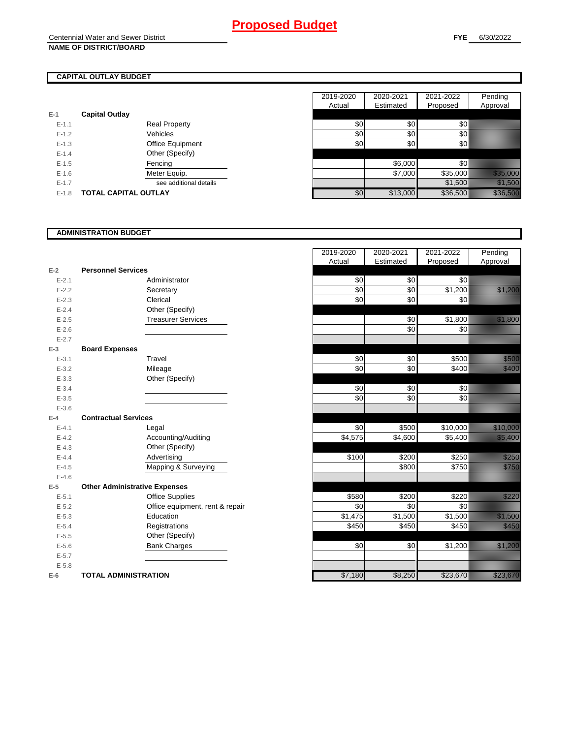## **CAPITAL OUTLAY BUDGET**

| $E-1$     | <b>Capital Outlay</b>       |                         |
|-----------|-----------------------------|-------------------------|
| $E - 1.1$ |                             | <b>Real Property</b>    |
| $F-12$    |                             | Vehicles                |
| $E - 1.3$ |                             | <b>Office Equipment</b> |
| $F-14$    |                             | Other (Specify)         |
| $F-1.5$   |                             | Fencing                 |
| $F-16$    |                             | Meter Equip.            |
| $F-17$    |                             | see additional details  |
| $F-1.8$   | <b>TOTAL CAPITAL OUTLAY</b> |                         |

|           |                             |                        | 2019-2020 | 2020-2021        | 2021-2022 | Pending                                                                                                        |
|-----------|-----------------------------|------------------------|-----------|------------------|-----------|----------------------------------------------------------------------------------------------------------------|
|           |                             |                        | Actual    | Estimated        | Proposed  | Approval                                                                                                       |
|           | <b>Capital Outlay</b>       |                        |           |                  |           |                                                                                                                |
| $E-1.1$   |                             | <b>Real Property</b>   | \$0       | \$0              | \$0       |                                                                                                                |
| $E-1.2$   | Vehicles                    |                        | \$0       | \$0 <sub>1</sub> | \$0       |                                                                                                                |
| $E-1.3$   |                             | Office Equipment       | \$0       | \$0              | \$0 ≬     |                                                                                                                |
| $E - 1.4$ |                             | Other (Specify)        |           |                  |           |                                                                                                                |
| $E-1.5$   | Fencing                     |                        |           | \$6,000          | \$0       |                                                                                                                |
| $E-1.6$   | Meter Equip.                |                        |           | \$7,000          | \$35,000  | a katalunggal sa katalunggal sa katalunggal sa katalunggal sa katalunggal sa katalunggal sa katalunggal sa kat |
| $E - 1.7$ |                             | see additional details |           |                  | \$1,500   | <u> Karlingan Sa</u>                                                                                           |
| $E-1.8$   | <b>TOTAL CAPITAL OUTLAY</b> |                        | \$0       | \$13,000         | \$36,500  | <u>i a shekara ta 1999</u>                                                                                     |

### **ADMINISTRATION BUDGET**

|           |                                      |                                 | nuuai   | Louisiand   Floposcu |          |
|-----------|--------------------------------------|---------------------------------|---------|----------------------|----------|
| $E-2$     | <b>Personnel Services</b>            |                                 |         |                      |          |
| $E - 2.1$ |                                      | Administrator                   | \$0     | \$0                  | \$0      |
| $E - 2.2$ |                                      | Secretary                       | \$0     | \$0                  | \$1,200  |
| $E - 2.3$ |                                      | Clerical                        | \$0     | \$0                  | \$0      |
| $E - 2.4$ |                                      | Other (Specify)                 |         |                      |          |
| $E - 2.5$ |                                      | <b>Treasurer Services</b>       |         | \$0                  | \$1,800  |
| $E-2.6$   |                                      |                                 |         | \$0                  | \$0      |
| $E - 2.7$ |                                      |                                 |         |                      |          |
| $E-3$     | <b>Board Expenses</b>                |                                 |         |                      |          |
| $E - 3.1$ |                                      | Travel                          | \$0     | \$0                  | \$500    |
| $E - 3.2$ |                                      | Mileage                         | \$0     | \$0                  | \$400    |
| $E - 3.3$ |                                      | Other (Specify)                 |         |                      |          |
| $E - 3.4$ |                                      |                                 | \$0     | \$0                  | \$0      |
| $E - 3.5$ |                                      |                                 | \$0     | \$0                  | \$0      |
| $E - 3.6$ |                                      |                                 |         |                      |          |
| $E-4$     | <b>Contractual Services</b>          |                                 |         |                      |          |
| $E - 4.1$ |                                      | Legal                           | \$0     | \$500                | \$10,000 |
| $E - 4.2$ |                                      | Accounting/Auditing             | \$4,575 | \$4,600              | \$5,400  |
| $E - 4.3$ |                                      | Other (Specify)                 |         |                      |          |
| $E - 4.4$ |                                      | Advertising                     | \$100   | \$200                | \$250    |
| $E - 4.5$ |                                      | Mapping & Surveying             |         | \$800                | \$750    |
| $E - 4.6$ |                                      |                                 |         |                      |          |
| $E-5$     | <b>Other Administrative Expenses</b> |                                 |         |                      |          |
| $E - 5.1$ |                                      | <b>Office Supplies</b>          | \$580   | \$200                | \$220    |
| $E - 5.2$ |                                      | Office equipment, rent & repair | \$0     | \$0                  | \$0      |
| $E - 5.3$ |                                      | Education                       | \$1,475 | \$1,500              | \$1,500  |
| $E - 5.4$ |                                      | Registrations                   | \$450   | \$450                | \$450    |
| $E - 5.5$ |                                      | Other (Specify)                 |         |                      |          |
| $E - 5.6$ |                                      | <b>Bank Charges</b>             | \$0     | \$0                  | \$1,200  |
| $E - 5.7$ |                                      |                                 |         |                      |          |
| $E - 5.8$ |                                      |                                 |         |                      |          |
| $E-6$     | <b>TOTAL ADMINISTRATION</b>          |                                 | \$7,180 | \$8,250              | \$23,670 |

|           |                                      | 2019-2020  | 2020-2021       | 2021-2022 | Pending                                                                                                                                                                                                                          |
|-----------|--------------------------------------|------------|-----------------|-----------|----------------------------------------------------------------------------------------------------------------------------------------------------------------------------------------------------------------------------------|
|           |                                      | Actual     | Estimated       | Proposed  | Approval                                                                                                                                                                                                                         |
| $E-2$     | <b>Personnel Services</b>            |            |                 |           |                                                                                                                                                                                                                                  |
| $E - 2.1$ | Administrator                        | \$0        | \$0             | \$0       |                                                                                                                                                                                                                                  |
| $E - 2.2$ | Secretary                            | \$0        | \$0             | \$1,200   | <u>e de la construcción de la construcción de la construcción de la construcción de la construcción de la constru</u>                                                                                                            |
| $E - 2.3$ | Clerical                             | \$0        | \$0             | \$0       |                                                                                                                                                                                                                                  |
| $E - 2.4$ | Other (Specify)                      |            |                 |           |                                                                                                                                                                                                                                  |
| $E - 2.5$ | <b>Treasurer Services</b>            |            | \$0             | \$1,800   | <u>e di seria di seria di seria di seria di seria di seria di seria di seria di seria di seria di seria di seria</u>                                                                                                             |
| $E - 2.6$ |                                      |            | \$0             | \$0       |                                                                                                                                                                                                                                  |
| $E - 2.7$ |                                      |            |                 |           |                                                                                                                                                                                                                                  |
| $E-3$     | <b>Board Expenses</b>                |            |                 |           |                                                                                                                                                                                                                                  |
| $E - 3.1$ | Travel                               | \$0        | \$0             | \$500     | <u>ti ka</u>                                                                                                                                                                                                                     |
| $E - 3.2$ | Mileage                              | \$0        | \$0             | \$400     | <u>tik k</u>                                                                                                                                                                                                                     |
| $E - 3.3$ | Other (Specify)                      |            |                 |           |                                                                                                                                                                                                                                  |
| $E - 3.4$ |                                      | \$0        | \$0             | \$0       |                                                                                                                                                                                                                                  |
| $E - 3.5$ |                                      | \$0        | $\overline{30}$ | \$0       |                                                                                                                                                                                                                                  |
| $E - 3.6$ |                                      |            |                 |           |                                                                                                                                                                                                                                  |
| $E-4$     | <b>Contractual Services</b>          |            |                 |           |                                                                                                                                                                                                                                  |
| $E - 4.1$ | Legal                                | \$0        | \$500           | \$10,000  | <u> Maria Barat da Barat da Barat da Barat da Barat da Barat da Barat da Barat da Barat da Barat da Barat da Bar</u>                                                                                                             |
| $E - 4.2$ | Accounting/Auditing                  | \$4,575    | \$4,600         | \$5,400   | <u>ti ali parti di seriali di seriali di seriali di seriali di seriali di seriali di seriali di seriali di seria</u>                                                                                                             |
| $E - 4.3$ | Other (Specify)                      |            |                 |           |                                                                                                                                                                                                                                  |
| $E-4.4$   | Advertising                          | \$100      | \$200           | \$250     | <u>tik kurdisi k</u>                                                                                                                                                                                                             |
| $E - 4.5$ | Mapping & Surveying                  |            | \$800           | \$750     | <u>elitika k</u>                                                                                                                                                                                                                 |
| $E-4.6$   |                                      |            |                 |           |                                                                                                                                                                                                                                  |
| $E-5$     | <b>Other Administrative Expenses</b> |            |                 |           |                                                                                                                                                                                                                                  |
| $E - 5.1$ | <b>Office Supplies</b>               | \$580      | \$200           | \$220     | <u>Mariti S</u>                                                                                                                                                                                                                  |
| $E - 5.2$ | Office equipment, rent & repair      | \$0        | \$0             | \$0       |                                                                                                                                                                                                                                  |
| $E - 5.3$ | Education                            | \$1,475    | \$1,500         | \$1,500   | <u> Maria Sant</u>                                                                                                                                                                                                               |
| $E - 5.4$ | Registrations                        | \$450      | \$450           | \$450     | <u>e di seria di se</u>                                                                                                                                                                                                          |
| $E - 5.5$ | Other (Specify)                      |            |                 |           |                                                                                                                                                                                                                                  |
| $E - 5.6$ | <b>Bank Charges</b>                  | $\sqrt{6}$ | \$0             | \$1,200   | <u>tik kuningan di kacamatan di kacamatan di kacamatan di kacamatan di kacamatan di kacamatan di kacamatan di ka</u>                                                                                                             |
| $E - 5.7$ |                                      |            |                 |           |                                                                                                                                                                                                                                  |
| $E - 5.8$ |                                      |            |                 |           |                                                                                                                                                                                                                                  |
| $E-6$     | <b>TOTAL ADMINISTRATION</b>          | \$7,180    | \$8,250         | \$23,670  | e de la provincia de la construcción de la construcción de la construcción de la construcción de la construcci<br>En la construcción de la construcción de la construcción de la construcción de la construcción de la construcc |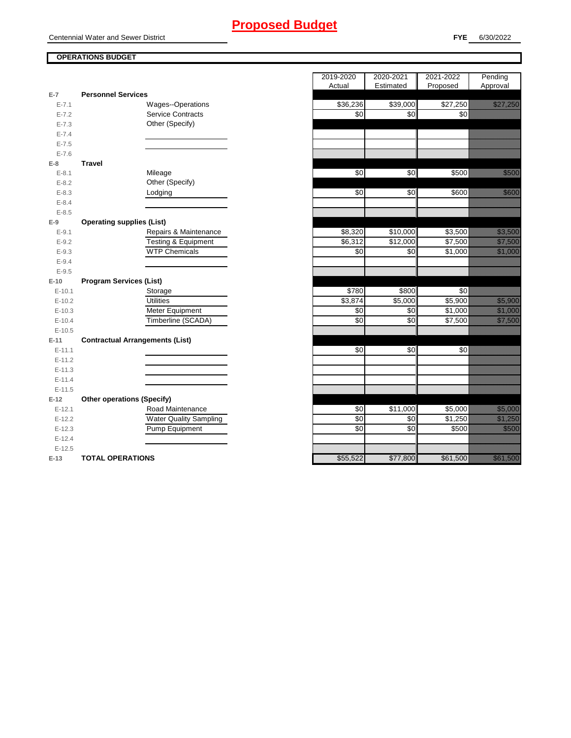Centennial Water and Sewer District

### **OPERATIONS BUDGET**

|           |                                        | Actual   | Estimated <b>Floposed</b> |          |
|-----------|----------------------------------------|----------|---------------------------|----------|
| $E-7$     | <b>Personnel Services</b>              |          |                           |          |
| $E - 7.1$ | <b>Wages--Operations</b>               | \$36,236 | \$39,000                  | \$27,250 |
| $E - 7.2$ | <b>Service Contracts</b>               | \$0      | \$0                       | \$0      |
| $E - 7.3$ | Other (Specify)                        |          |                           |          |
| $E - 7.4$ |                                        |          |                           |          |
| $E - 7.5$ |                                        |          |                           |          |
| $E - 7.6$ |                                        |          |                           |          |
| E-8       | <b>Travel</b>                          |          |                           |          |
| $E - 8.1$ | Mileage                                | \$0      | \$0                       | \$500    |
| $E - 8.2$ | Other (Specify)                        |          |                           |          |
| $E - 8.3$ | Lodging                                | \$0      | \$0                       | \$600    |
| $E - 8.4$ |                                        |          |                           |          |
| $E - 8.5$ |                                        |          |                           |          |
| $E-9$     | <b>Operating supplies (List)</b>       |          |                           |          |
| $E - 9.1$ | Repairs & Maintenance                  | \$8,320  | \$10,000                  | \$3,500  |
| $E - 9.2$ | <b>Testing &amp; Equipment</b>         | \$6,312  | \$12,000                  | \$7,500  |
| $E - 9.3$ | <b>WTP Chemicals</b>                   | \$0      | \$0                       | \$1,000  |
| $E - 9.4$ |                                        |          |                           |          |
| $E - 9.5$ |                                        |          |                           |          |
| $E-10$    | <b>Program Services (List)</b>         |          |                           |          |
| $E-10.1$  | Storage                                | \$780    | \$800                     | \$0      |
| $E-10.2$  | <b>Utilities</b>                       | \$3,874  | \$5,000                   | \$5,900  |
| $E-10.3$  | Meter Equipment                        | \$0      | \$0                       | \$1,000  |
| $E-10.4$  | Timberline (SCADA)                     | \$0      | \$0                       | \$7,500  |
| $E-10.5$  |                                        |          |                           |          |
| $E-11$    | <b>Contractual Arrangements (List)</b> |          |                           |          |
| $E-11.1$  |                                        | \$0      | \$0                       | \$0      |
| $E-11.2$  |                                        |          |                           |          |
| $E-11.3$  |                                        |          |                           |          |
| $E-11.4$  |                                        |          |                           |          |
| $E-11.5$  |                                        |          |                           |          |
| $E-12$    | <b>Other operations (Specify)</b>      |          |                           |          |
| $E-12.1$  | Road Maintenance                       | \$0      | \$11,000                  | \$5,000  |
| $E-12.2$  | <b>Water Quality Sampling</b>          | \$0      | \$0                       | \$1,250  |
| $E-12.3$  | Pump Equipment                         | \$0      | \$0                       | \$500    |
| $E-12.4$  |                                        |          |                           |          |
| $E-12.5$  |                                        |          |                           |          |
| $E-13$    | <b>TOTAL OPERATIONS</b>                | \$55,522 | \$77,800                  | \$61,500 |

|                |                                        | 2019-2020 | 2020-2021 | 2021-2022 | Pending                                                                                                                |
|----------------|----------------------------------------|-----------|-----------|-----------|------------------------------------------------------------------------------------------------------------------------|
| $\overline{7}$ | <b>Personnel Services</b>              | Actual    | Estimated | Proposed  | Approval                                                                                                               |
| $E - 7.1$      | <b>Wages--Operations</b>               | \$36,236  | \$39,000  | \$27,250  | <u>Tilling</u>                                                                                                         |
| $E - 7.2$      | <b>Service Contracts</b>               | \$0       | \$0       | \$0       |                                                                                                                        |
| $E - 7.3$      | Other (Specify)                        |           |           |           |                                                                                                                        |
| $E - 7.4$      |                                        |           |           |           |                                                                                                                        |
| $E - 7.5$      |                                        |           |           |           |                                                                                                                        |
| $E - 7.6$      |                                        |           |           |           |                                                                                                                        |
| 8              | <b>Travel</b>                          |           |           |           |                                                                                                                        |
| $E - 8.1$      | Mileage                                | \$0       | \$0       | \$500     | en eller<br>Stadt Stadt                                                                                                |
| $E - 8.2$      | Other (Specify)                        |           |           |           |                                                                                                                        |
| $E - 8.3$      | Lodging                                | \$0       | \$0       | \$600     | <u>ti ka</u>                                                                                                           |
| $E - 8.4$      |                                        |           |           |           |                                                                                                                        |
| $E - 8.5$      |                                        |           |           |           |                                                                                                                        |
| 9              | <b>Operating supplies (List)</b>       |           |           |           |                                                                                                                        |
| $E-9.1$        | Repairs & Maintenance                  | \$8,320   | \$10,000  | \$3,500   | <u>tion and the community of the community of the community of the community of the community of the community of </u> |
| $E - 9.2$      | Testing & Equipment                    | \$6,312   | \$12,000  | \$7,500   | <u>till framförsta</u>                                                                                                 |
| $E - 9.3$      | <b>WTP Chemicals</b>                   | \$0       | \$0       | \$1,000   | <u> Maria Sant</u>                                                                                                     |
| $E-9.4$        |                                        |           |           |           |                                                                                                                        |
| $E - 9.5$      |                                        |           |           |           |                                                                                                                        |
| 10             | <b>Program Services (List)</b>         |           |           |           |                                                                                                                        |
| $E-10.1$       | Storage                                | \$780     | \$800     | \$0       |                                                                                                                        |
| $E-10.2$       | <b>Utilities</b>                       | \$3,874   | \$5,000   | \$5,900   | <u> Hillingar</u>                                                                                                      |
| $E-10.3$       | Meter Equipment                        | \$0       | \$0       | \$1,000   | <u> Maria Barat I</u>                                                                                                  |
| $E-10.4$       | Timberline (SCADA)                     | \$0       | \$0       | \$7,500   | <u> Kalendari Seria</u>                                                                                                |
| $E-10.5$       |                                        |           |           |           |                                                                                                                        |
| 11             | <b>Contractual Arrangements (List)</b> |           |           |           |                                                                                                                        |
| $E-11.1$       |                                        | \$0       | \$0       | \$0       |                                                                                                                        |
| $E-11.2$       |                                        |           |           |           |                                                                                                                        |
| $E-11.3$       |                                        |           |           |           |                                                                                                                        |
| $E-11.4$       |                                        |           |           |           |                                                                                                                        |
| $E-11.5$       |                                        |           |           |           |                                                                                                                        |
| 12             | <b>Other operations (Specify)</b>      |           |           |           |                                                                                                                        |
| $E-12.1$       | Road Maintenance                       | \$0       | \$11,000  | \$5,000   | <u>ti ka</u>                                                                                                           |
| $E-12.2$       | <b>Water Quality Sampling</b>          | \$0       | \$0       | \$1,250   |                                                                                                                        |
| $E-12.3$       | Pump Equipment                         | \$0       | \$0       | \$500     | <u>tional</u>                                                                                                          |
| $E-12.4$       |                                        |           |           |           |                                                                                                                        |
| $E-12.5$       |                                        |           |           |           |                                                                                                                        |
| $-13$          | <b>TOTAL OPERATIONS</b>                | \$55,522  | \$77,800  | \$61,500  | <u> Kabupatèn Ta</u>                                                                                                   |

Ī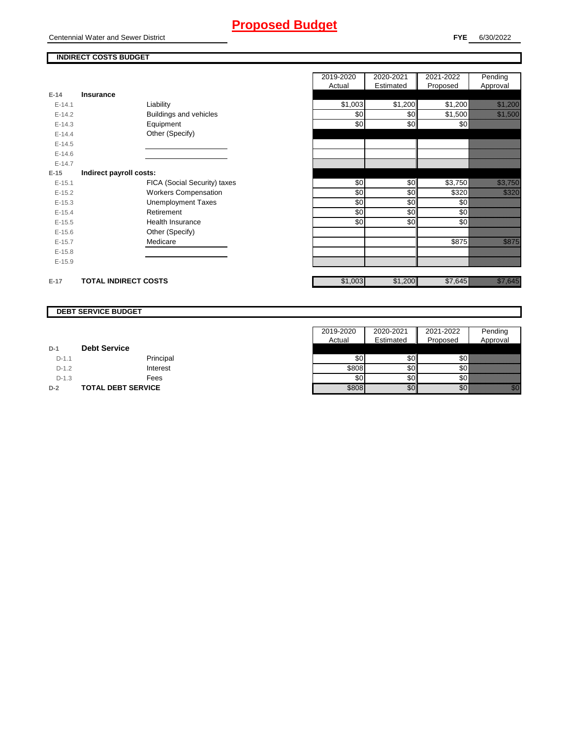Centennial Water and Sewer District

#### **INDIRECT COSTS BUDGET**

|          |                              | 2019-2020<br>Actual | 2020-2021<br>Estimated | 2021-2022<br>Proposed | Pending<br>Approval       |
|----------|------------------------------|---------------------|------------------------|-----------------------|---------------------------|
| $E-14$   | Insurance                    |                     |                        |                       |                           |
| $E-14.1$ | Liability                    | \$1,003             | \$1,200                | \$1,200               | <u> Karlin Saraja</u>     |
| $E-14.2$ | Buildings and vehicles       | \$0                 | \$0                    | \$1,500               | <u> Karlin Sarajan Sa</u> |
| $E-14.3$ | Equipment                    | \$0                 | \$0                    | \$0                   |                           |
| $E-14.4$ | Other (Specify)              |                     |                        |                       |                           |
| $E-14.5$ |                              |                     |                        |                       |                           |
| $E-14.6$ |                              |                     |                        |                       |                           |
| $E-14.7$ |                              |                     |                        |                       |                           |
| $E-15$   | Indirect payroll costs:      |                     |                        |                       |                           |
| $E-15.1$ | FICA (Social Security) taxes | \$0                 | \$0                    | \$3,750               | <u> Karlin Maria Sant</u> |
| $E-15.2$ | <b>Workers Compensation</b>  | \$0                 | \$0                    | \$320                 | <u> Kalendari Se</u>      |
| $E-15.3$ | <b>Unemployment Taxes</b>    | \$0                 | \$0                    | \$0                   |                           |
| $E-15.4$ | Retirement                   | \$0                 | \$0                    | \$0                   |                           |
| $E-15.5$ | Health Insurance             | \$0                 | \$0                    | \$0                   |                           |
| $E-15.6$ | Other (Specify)              |                     |                        |                       |                           |
| $E-15.7$ | Medicare                     |                     |                        | \$875                 | <u> Karatifu</u>          |
| $E-15.8$ |                              |                     |                        |                       |                           |
| $E-15.9$ |                              |                     |                        |                       |                           |
| $E-17$   | <b>TOTAL INDIRECT COSTS</b>  | \$1,003             | \$1,200                | \$7,645               |                           |

#### **DEBT SERVICE BUDGET**

|         |                           | 2019-2020 | 2020-2021  | 2021-2022 | Pending                                                                                                                                                                                                                         |
|---------|---------------------------|-----------|------------|-----------|---------------------------------------------------------------------------------------------------------------------------------------------------------------------------------------------------------------------------------|
|         |                           | Actual    | Estimated  | Proposed  | Approval                                                                                                                                                                                                                        |
| $D-1$   | <b>Debt Service</b>       |           |            |           |                                                                                                                                                                                                                                 |
| $D-1.1$ | Principal                 | \$0       | \$0        | \$٥١      |                                                                                                                                                                                                                                 |
| $D-1.2$ | Interest                  | \$808     | <b>SO</b>  | \$0       |                                                                                                                                                                                                                                 |
| $D-1.3$ | Fees                      | \$0       | <b>\$0</b> | \$0 I     |                                                                                                                                                                                                                                 |
| $D-2$   | <b>TOTAL DEBT SERVICE</b> | \$808     | \$0        | \$0       | en de la familie de la familie de la familie de la familie de la familie de la familie de la familie de la fam<br>Concello de la familie de la familie de la familie de la familie de la familie de la familie de la familie de |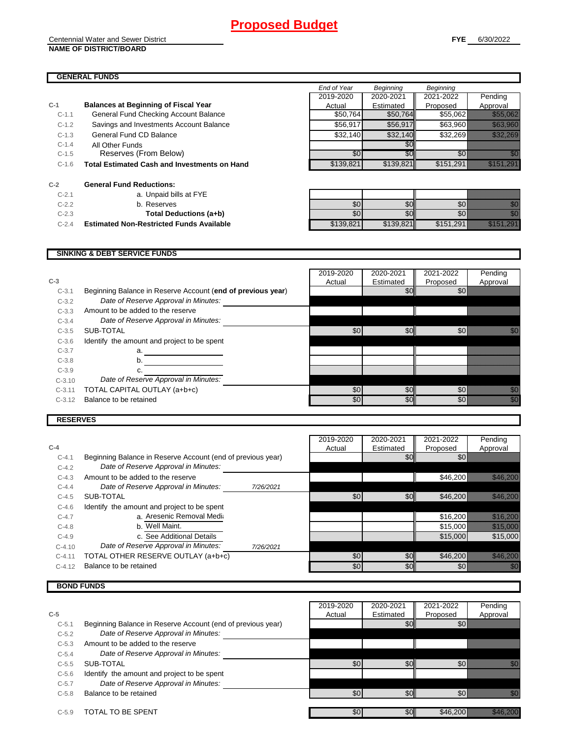#### **GENERAL FUNDS**

|         |                                                     | End of Year | Beginning | Beginning |                                                                                                                                                                                                                                 |
|---------|-----------------------------------------------------|-------------|-----------|-----------|---------------------------------------------------------------------------------------------------------------------------------------------------------------------------------------------------------------------------------|
|         |                                                     | 2019-2020   | 2020-2021 | 2021-2022 | Pending                                                                                                                                                                                                                         |
| $C-1$   | <b>Balances at Beginning of Fiscal Year</b>         | Actual      | Estimated | Proposed  | Approval                                                                                                                                                                                                                        |
| $C-1.1$ | General Fund Checking Account Balance               | \$50,764    | \$50,764  | \$55,062  | <u> Karl (Karl III) eta Erresta Erresta eta Erresta eta Erresta eta Erresta eta Erresta eta Erresta eta Erresta </u>                                                                                                            |
| $C-1.2$ | Savings and Investments Account Balance             | \$56,917    | \$56,917  | \$63,960  | <u> Karlinistik (</u>                                                                                                                                                                                                           |
| $C-1.3$ | General Fund CD Balance                             | \$32,140    | \$32,140  | \$32,269  | <u> Kalifaratan Se</u>                                                                                                                                                                                                          |
| $C-1.4$ | All Other Funds                                     |             | \$0       |           |                                                                                                                                                                                                                                 |
| $C-1.5$ | Reserves (From Below)                               | \$0         | \$0       | \$0       | an dhe                                                                                                                                                                                                                          |
| $C-1.6$ | <b>Total Estimated Cash and Investments on Hand</b> | \$139,821   | \$139,821 | \$151,291 | <u>ilikuwa mwaka</u>                                                                                                                                                                                                            |
| $C-2$   | <b>General Fund Reductions:</b>                     |             |           |           |                                                                                                                                                                                                                                 |
| $C-2.1$ | a. Unpaid bills at FYE                              |             |           |           |                                                                                                                                                                                                                                 |
| $C-2.2$ | b. Reserves                                         | \$0         | \$0       | \$0       | en de la familie de la familie de la familie de la familie de la familie de la familie de la familie de la fam<br>Estat de la familie de la familie de la familie de la familie de la familie de la familie de la familie de la |
| $C-2.3$ | Total Deductions (a+b)                              | \$0         | \$0       | \$0       | en de la familie de la familie de la familie de la familie de la familie de la familie de la familie de la fa<br>Constitution de la familie de la familie de la familie de la familie de la familie de la familie de la familie |
| $C-2.4$ | <b>Estimated Non-Restricted Funds Available</b>     | \$139,821   | \$139,821 | \$151,291 | <u>Alika M</u>                                                                                                                                                                                                                  |
|         |                                                     |             |           |           |                                                                                                                                                                                                                                 |

#### **SINKING & DEBT SERVICE FUNDS**

|          |                                                             | 2019-2020 | 2020-2021        | 2021-2022 | Pending                                                                                                                                                                                                                          |
|----------|-------------------------------------------------------------|-----------|------------------|-----------|----------------------------------------------------------------------------------------------------------------------------------------------------------------------------------------------------------------------------------|
| $C-3$    |                                                             | Actual    | Estimated        | Proposed  | Approval                                                                                                                                                                                                                         |
| $C-3.1$  | Beginning Balance in Reserve Account (end of previous year) |           | \$0 <sub>1</sub> | \$0       |                                                                                                                                                                                                                                  |
| $C-3.2$  | Date of Reserve Approval in Minutes:                        |           |                  |           |                                                                                                                                                                                                                                  |
| $C-3.3$  | Amount to be added to the reserve                           |           |                  |           |                                                                                                                                                                                                                                  |
| $C-3.4$  | Date of Reserve Approval in Minutes:                        |           |                  |           |                                                                                                                                                                                                                                  |
| $C-3.5$  | SUB-TOTAL                                                   | \$0       | \$0              | \$0       |                                                                                                                                                                                                                                  |
| $C-3.6$  | Identify the amount and project to be spent                 |           |                  |           |                                                                                                                                                                                                                                  |
| $C-3.7$  | a.                                                          |           |                  |           |                                                                                                                                                                                                                                  |
| $C-3.8$  | b.                                                          |           |                  |           |                                                                                                                                                                                                                                  |
| $C-3.9$  |                                                             |           |                  |           |                                                                                                                                                                                                                                  |
| $C-3.10$ | Date of Reserve Approval in Minutes:                        |           |                  |           |                                                                                                                                                                                                                                  |
| $C-3.11$ | TOTAL CAPITAL OUTLAY (a+b+c)                                | \$0       | \$0              | \$0       | an dhe                                                                                                                                                                                                                           |
| $C-3.12$ | Balance to be retained                                      | \$0       | \$0 <sub>l</sub> | \$0       | en de la familie de la familie de la familie de la familie de la familie de la familie de la familie de la fam<br>Constituit de la familie de la familie de la familie de la familie de la familie de la familie de la familie d |
|          |                                                             |           |                  |           |                                                                                                                                                                                                                                  |

#### **RESERVES**

|            |                                                             |           | 2019-2020 | 2020-2021 | 2021-2022 | Pending                                                                                                                                                                                                                         |
|------------|-------------------------------------------------------------|-----------|-----------|-----------|-----------|---------------------------------------------------------------------------------------------------------------------------------------------------------------------------------------------------------------------------------|
| $C-4$      |                                                             |           | Actual    | Estimated | Proposed  | Approval                                                                                                                                                                                                                        |
| $C-4.1$    | Beginning Balance in Reserve Account (end of previous year) |           |           | \$0       | \$0       |                                                                                                                                                                                                                                 |
| $C-4.2$    | Date of Reserve Approval in Minutes:                        |           |           |           |           |                                                                                                                                                                                                                                 |
| $C-4.3$    | Amount to be added to the reserve                           |           |           |           | \$46,200  |                                                                                                                                                                                                                                 |
| $C - 4.4$  | Date of Reserve Approval in Minutes:                        | 7/26/2021 |           |           |           |                                                                                                                                                                                                                                 |
| $C-4.5$    | SUB-TOTAL                                                   |           | \$0       | \$0       | \$46,200  |                                                                                                                                                                                                                                 |
| $C - 4.6$  | Identify the amount and project to be spent                 |           |           |           |           |                                                                                                                                                                                                                                 |
| $C-4.7$    | a. Aresenic Removal Media                                   |           |           |           | \$16,200  |                                                                                                                                                                                                                                 |
| $C-4.8$    | b. Well Maint.                                              |           |           |           | \$15,000  | <u> Hillingsson</u>                                                                                                                                                                                                             |
| $C-4.9$    | c. See Additional Details                                   |           |           |           | \$15,000  | \$15,000                                                                                                                                                                                                                        |
| $C-4.10$   | Date of Reserve Approval in Minutes:                        | 7/26/2021 |           |           |           |                                                                                                                                                                                                                                 |
| $C - 4.11$ | TOTAL OTHER RESERVE OUTLAY (a+b+c)                          |           | \$0       | \$0       | \$46,200  | <u> The Company of the Company of the Company of the Company of the Company of the Company of the Company of the </u>                                                                                                           |
| $C-4.12$   | Balance to be retained                                      |           | \$0       | \$0       | \$0       | en de la familie de la familie de la familie de la familie de la familie de la familie de la familie de la fa<br>Constitution de la familie de la familie de la familie de la familie de la familie de la familie de la familie |

### **BOND FUNDS**

|         |                                                             | 2019-2020 | 2020-2021        | 2021-2022 | Pending  |
|---------|-------------------------------------------------------------|-----------|------------------|-----------|----------|
| $C-5$   |                                                             | Actual    | Estimated        | Proposed  | Approval |
| $C-5.1$ | Beginning Balance in Reserve Account (end of previous year) |           |                  | \$0       |          |
| $C-5.2$ | Date of Reserve Approval in Minutes:                        |           |                  |           |          |
| $C-5.3$ | Amount to be added to the reserve                           |           |                  |           |          |
| $C-5.4$ | Date of Reserve Approval in Minutes:                        |           |                  |           |          |
| $C-5.5$ | SUB-TOTAL                                                   | \$0       | \$0              | \$0       | a Kalé   |
| $C-5.6$ | Identify the amount and project to be spent                 |           |                  |           |          |
| $C-5.7$ | Date of Reserve Approval in Minutes:                        |           |                  |           |          |
| $C-5.8$ | Balance to be retained                                      | \$0       | \$0              | \$0       | 11       |
| $C-5.9$ | TOTAL TO BE SPENT                                           | \$0       | \$0 <sub>l</sub> | \$46,200  |          |
|         |                                                             |           |                  |           |          |